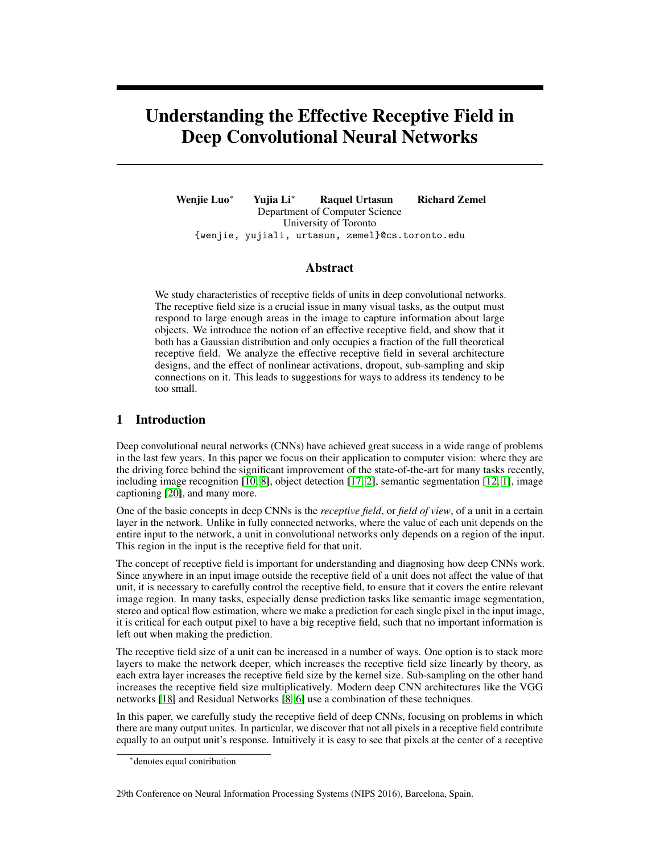# Understanding the Effective Receptive Field in Deep Convolutional Neural Networks

Wenjie Luo<sup>∗</sup> Yujia Li<sup>∗</sup> Raquel Urtasun Richard Zemel Department of Computer Science University of Toronto {wenjie, yujiali, urtasun, zemel}@cs.toronto.edu

## Abstract

We study characteristics of receptive fields of units in deep convolutional networks. The receptive field size is a crucial issue in many visual tasks, as the output must respond to large enough areas in the image to capture information about large objects. We introduce the notion of an effective receptive field, and show that it both has a Gaussian distribution and only occupies a fraction of the full theoretical receptive field. We analyze the effective receptive field in several architecture designs, and the effect of nonlinear activations, dropout, sub-sampling and skip connections on it. This leads to suggestions for ways to address its tendency to be too small.

# 1 Introduction

Deep convolutional neural networks (CNNs) have achieved great success in a wide range of problems in the last few years. In this paper we focus on their application to computer vision: where they are the driving force behind the significant improvement of the state-of-the-art for many tasks recently, including image recognition [\[10,](#page-8-0) [8\]](#page-8-1), object detection [\[17,](#page-8-2) [2\]](#page-8-3), semantic segmentation [\[12,](#page-8-4) [1\]](#page-8-5), image captioning [\[20\]](#page-8-6), and many more.

One of the basic concepts in deep CNNs is the *receptive field*, or *field of view*, of a unit in a certain layer in the network. Unlike in fully connected networks, where the value of each unit depends on the entire input to the network, a unit in convolutional networks only depends on a region of the input. This region in the input is the receptive field for that unit.

The concept of receptive field is important for understanding and diagnosing how deep CNNs work. Since anywhere in an input image outside the receptive field of a unit does not affect the value of that unit, it is necessary to carefully control the receptive field, to ensure that it covers the entire relevant image region. In many tasks, especially dense prediction tasks like semantic image segmentation, stereo and optical flow estimation, where we make a prediction for each single pixel in the input image, it is critical for each output pixel to have a big receptive field, such that no important information is left out when making the prediction.

The receptive field size of a unit can be increased in a number of ways. One option is to stack more layers to make the network deeper, which increases the receptive field size linearly by theory, as each extra layer increases the receptive field size by the kernel size. Sub-sampling on the other hand increases the receptive field size multiplicatively. Modern deep CNN architectures like the VGG networks [\[18\]](#page-8-7) and Residual Networks [\[8,](#page-8-1) [6\]](#page-8-8) use a combination of these techniques.

In this paper, we carefully study the receptive field of deep CNNs, focusing on problems in which there are many output unites. In particular, we discover that not all pixels in a receptive field contribute equally to an output unit's response. Intuitively it is easy to see that pixels at the center of a receptive

<sup>∗</sup> denotes equal contribution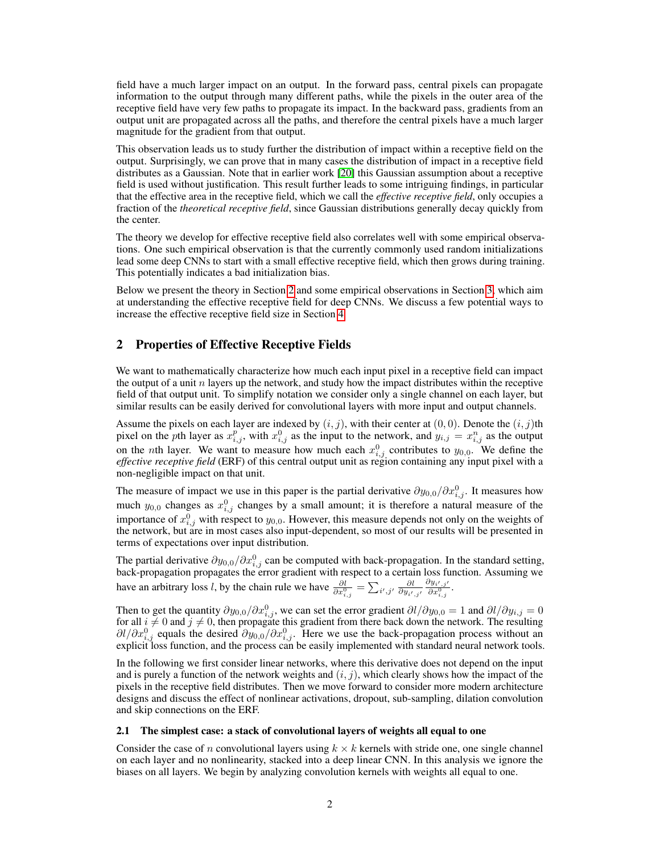field have a much larger impact on an output. In the forward pass, central pixels can propagate information to the output through many different paths, while the pixels in the outer area of the receptive field have very few paths to propagate its impact. In the backward pass, gradients from an output unit are propagated across all the paths, and therefore the central pixels have a much larger magnitude for the gradient from that output.

This observation leads us to study further the distribution of impact within a receptive field on the output. Surprisingly, we can prove that in many cases the distribution of impact in a receptive field distributes as a Gaussian. Note that in earlier work [\[20\]](#page-8-6) this Gaussian assumption about a receptive field is used without justification. This result further leads to some intriguing findings, in particular that the effective area in the receptive field, which we call the *effective receptive field*, only occupies a fraction of the *theoretical receptive field*, since Gaussian distributions generally decay quickly from the center.

The theory we develop for effective receptive field also correlates well with some empirical observations. One such empirical observation is that the currently commonly used random initializations lead some deep CNNs to start with a small effective receptive field, which then grows during training. This potentially indicates a bad initialization bias.

Below we present the theory in Section [2](#page-1-0) and some empirical observations in Section [3,](#page-4-0) which aim at understanding the effective receptive field for deep CNNs. We discuss a few potential ways to increase the effective receptive field size in Section [4.](#page-6-0)

# <span id="page-1-0"></span>2 Properties of Effective Receptive Fields

We want to mathematically characterize how much each input pixel in a receptive field can impact the output of a unit  $n$  layers up the network, and study how the impact distributes within the receptive field of that output unit. To simplify notation we consider only a single channel on each layer, but similar results can be easily derived for convolutional layers with more input and output channels.

Assume the pixels on each layer are indexed by  $(i, j)$ , with their center at  $(0, 0)$ . Denote the  $(i, j)$ th pixel on the *p*th layer as  $x_{i,j}^p$ , with  $x_{i,j}^0$  as the input to the network, and  $y_{i,j} = x_{i,j}^n$  as the output on the *n*th layer. We want to measure how much each  $x_{i,j}^0$  contributes to  $y_{0,0}$ . We define the *effective receptive field* (ERF) of this central output unit as region containing any input pixel with a non-negligible impact on that unit.

The measure of impact we use in this paper is the partial derivative  $\partial y_{0,0}/\partial x_{i,j}^0$ . It measures how much  $y_{0,0}$  changes as  $x_{i,j}^0$  changes by a small amount; it is therefore a natural measure of the importance of  $x_{i,j}^0$  with respect to  $y_{0,0}$ . However, this measure depends not only on the weights of the network, but are in most cases also input-dependent, so most of our results will be presented in terms of expectations over input distribution.

The partial derivative  $\partial y_{0,0}/\partial x_{i,j}^0$  can be computed with back-propagation. In the standard setting, back-propagation propagates the error gradient with respect to a certain loss function. Assuming we have an arbitrary loss *l*, by the chain rule we have  $\frac{\partial l}{\partial x_{i,j}^0} = \sum_{i',j'} \frac{\partial l}{\partial y_{i',j'}}$  $\frac{\partial y_{i',j'}}{\partial x_{i,j}^0}$ .

Then to get the quantity  $\partial y_{0,0}/\partial x_{i,j}^0$ , we can set the error gradient  $\partial l/\partial y_{0,0} = 1$  and  $\partial l/\partial y_{i,j} = 0$ for all  $i \neq 0$  and  $j \neq 0$ , then propagate this gradient from there back down the network. The resulting  $\partial l/\partial x_{i,j}^0$  equals the desired  $\partial y_{0,0}/\partial x_{i,j}^0$ . Here we use the back-propagation process without an explicit loss function, and the process can be easily implemented with standard neural network tools.

In the following we first consider linear networks, where this derivative does not depend on the input and is purely a function of the network weights and  $(i, j)$ , which clearly shows how the impact of the pixels in the receptive field distributes. Then we move forward to consider more modern architecture designs and discuss the effect of nonlinear activations, dropout, sub-sampling, dilation convolution and skip connections on the ERF.

# <span id="page-1-1"></span>2.1 The simplest case: a stack of convolutional layers of weights all equal to one

Consider the case of n convolutional layers using  $k \times k$  kernels with stride one, one single channel on each layer and no nonlinearity, stacked into a deep linear CNN. In this analysis we ignore the biases on all layers. We begin by analyzing convolution kernels with weights all equal to one.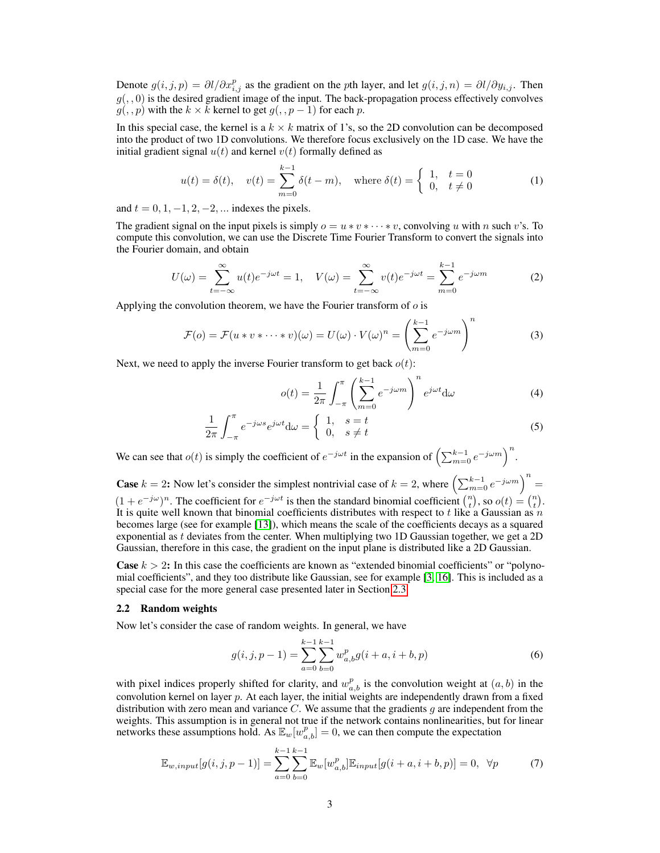Denote  $g(i, j, p) = \partial l / \partial x_{i,j}^p$  as the gradient on the pth layer, and let  $g(i, j, n) = \partial l / \partial y_{i,j}$ . Then  $g(., 0)$  is the desired gradient image of the input. The back-propagation process effectively convolves  $g(, p)$  with the  $k \times k$  kernel to get  $g(, p-1)$  for each p.

In this special case, the kernel is a  $k \times k$  matrix of 1's, so the 2D convolution can be decomposed into the product of two 1D convolutions. We therefore focus exclusively on the 1D case. We have the initial gradient signal  $u(t)$  and kernel  $v(t)$  formally defined as

$$
u(t) = \delta(t), \quad v(t) = \sum_{m=0}^{k-1} \delta(t - m), \quad \text{where } \delta(t) = \begin{cases} 1, & t = 0 \\ 0, & t \neq 0 \end{cases} \tag{1}
$$

and  $t = 0, 1, -1, 2, -2, ...$  indexes the pixels.

The gradient signal on the input pixels is simply  $o = u * v * \cdots * v$ , convolving u with n such v's. To compute this convolution, we can use the Discrete Time Fourier Transform to convert the signals into the Fourier domain, and obtain

$$
U(\omega) = \sum_{t=-\infty}^{\infty} u(t)e^{-j\omega t} = 1, \quad V(\omega) = \sum_{t=-\infty}^{\infty} v(t)e^{-j\omega t} = \sum_{m=0}^{k-1} e^{-j\omega m}
$$
 (2)

Applying the convolution theorem, we have the Fourier transform of  $\sigma$  is

$$
\mathcal{F}(o) = \mathcal{F}(u * v * \cdots * v)(\omega) = U(\omega) \cdot V(\omega)^n = \left(\sum_{m=0}^{k-1} e^{-j\omega m}\right)^n \tag{3}
$$

Next, we need to apply the inverse Fourier transform to get back  $o(t)$ :

$$
o(t) = \frac{1}{2\pi} \int_{-\pi}^{\pi} \left( \sum_{m=0}^{k-1} e^{-j\omega m} \right)^n e^{j\omega t} d\omega \tag{4}
$$

$$
\frac{1}{2\pi} \int_{-\pi}^{\pi} e^{-j\omega s} e^{j\omega t} d\omega = \begin{cases} 1, & s = t \\ 0, & s \neq t \end{cases}
$$
 (5)

We can see that  $o(t)$  is simply the coefficient of  $e^{-j\omega t}$  in the expansion of  $\left(\sum_{m=0}^{k-1} e^{-j\omega m}\right)^n$ .

**Case**  $k = 2$ : Now let's consider the simplest nontrivial case of  $k = 2$ , where  $\left(\sum_{m=0}^{k-1} e^{-j\omega m}\right)^n =$  $(1 + e^{-j\omega})^n$ . The coefficient for  $e^{-j\omega t}$  is then the standard binomial coefficient  $\binom{n}{t}$ , so  $o(t) = \binom{n}{t}$ . It is quite well known that binomial coefficients distributes with respect to t like a Gaussian as n becomes large (see for example [\[13\]](#page-8-9)), which means the scale of the coefficients decays as a squared exponential as  $t$  deviates from the center. When multiplying two 1D Gaussian together, we get a 2D Gaussian, therefore in this case, the gradient on the input plane is distributed like a 2D Gaussian.

**Case**  $k > 2$ : In this case the coefficients are known as "extended binomial coefficients" or "polynomial coefficients", and they too distribute like Gaussian, see for example [\[3,](#page-8-10) [16\]](#page-8-11). This is included as a special case for the more general case presented later in Section [2.3.](#page-3-0)

#### 2.2 Random weights

Now let's consider the case of random weights. In general, we have

$$
g(i, j, p - 1) = \sum_{a=0}^{k-1} \sum_{b=0}^{k-1} w_{a,b}^p g(i + a, i + b, p)
$$
 (6)

with pixel indices properly shifted for clarity, and  $w_{a,b}^p$  is the convolution weight at  $(a, b)$  in the convolution kernel on layer p. At each layer, the initial weights are independently drawn from a fixed distribution with zero mean and variance  $C$ . We assume that the gradients  $g$  are independent from the weights. This assumption is in general not true if the network contains nonlinearities, but for linear networks these assumptions hold. As  $\mathbb{E}_w[w_{a,b}^p] = 0$ , we can then compute the expectation

$$
\mathbb{E}_{w, input}[g(i, j, p-1)] = \sum_{a=0}^{k-1} \sum_{b=0}^{k-1} \mathbb{E}_{w}[w_{a,b}^{p}]\mathbb{E}_{input}[g(i+a, i+b, p)] = 0, \quad \forall p
$$
 (7)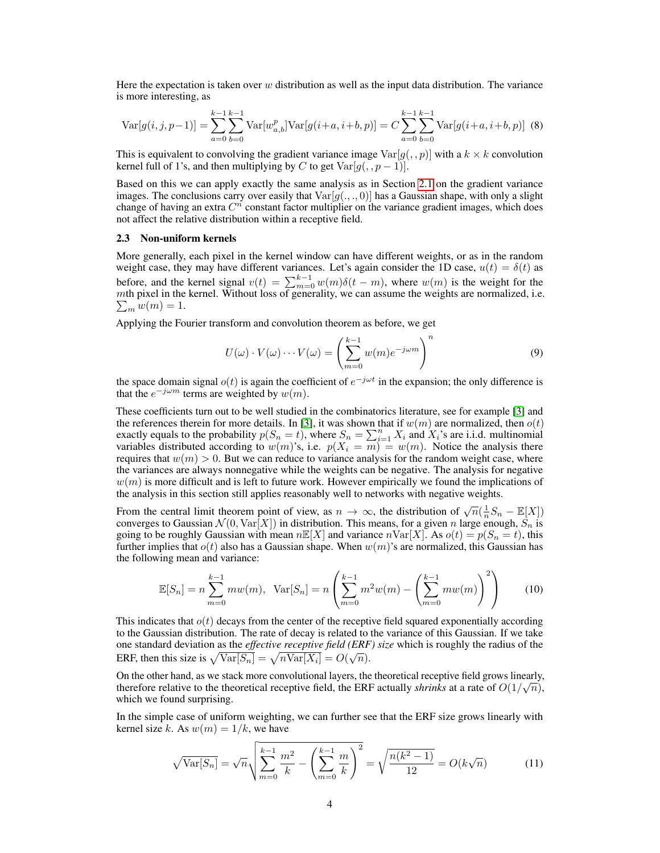Here the expectation is taken over  $w$  distribution as well as the input data distribution. The variance is more interesting, as

$$
\text{Var}[g(i,j,p-1)] = \sum_{a=0}^{k-1} \sum_{b=0}^{k-1} \text{Var}[w_{a,b}^p] \text{Var}[g(i+a,i+b,p)] = C \sum_{a=0}^{k-1} \sum_{b=0}^{k-1} \text{Var}[g(i+a,i+b,p)] \tag{8}
$$

This is equivalent to convolving the gradient variance image  $Var[g(, p)]$  with a  $k \times k$  convolution kernel full of 1's, and then multiplying by C to get  $Var[g(, p-1)]$ .

Based on this we can apply exactly the same analysis as in Section [2.1](#page-1-1) on the gradient variance images. The conclusions carry over easily that  $Var[g(.,., 0)]$  has a Gaussian shape, with only a slight change of having an extra  $C^n$  constant factor multiplier on the variance gradient images, which does not affect the relative distribution within a receptive field.

#### <span id="page-3-0"></span>2.3 Non-uniform kernels

More generally, each pixel in the kernel window can have different weights, or as in the random weight case, they may have different variances. Let's again consider the 1D case,  $u(t) = \delta(t)$  as before, and the kernel signal  $v(t) = \sum_{m=0}^{k-1} w(m) \delta(t - m)$ , where  $w(m)$  is the weight for the mth pixel in the kernel. Without loss of generality, we can assume the weights are normalized, i.e.  $\sum_m w(m) = 1.$ 

Applying the Fourier transform and convolution theorem as before, we get

$$
U(\omega) \cdot V(\omega) \cdots V(\omega) = \left(\sum_{m=0}^{k-1} w(m) e^{-j\omega m}\right)^n \tag{9}
$$

the space domain signal  $o(t)$  is again the coefficient of  $e^{-j\omega t}$  in the expansion; the only difference is that the  $e^{-j\omega m}$  terms are weighted by  $w(m)$ .

These coefficients turn out to be well studied in the combinatorics literature, see for example [\[3\]](#page-8-10) and the references therein for more details. In [\[3\]](#page-8-10), it was shown that if  $w(m)$  are normalized, then  $o(t)$ exactly equals to the probability  $p(S_n = t)$ , where  $S_n = \sum_{i=1}^n X_i$  and  $X_i$ 's are i.i.d. multinomial variables distributed according to  $w(m)$ 's, i.e.  $p(X_i = m) = w(m)$ . Notice the analysis there requires that  $w(m) > 0$ . But we can reduce to variance analysis for the random weight case, where the variances are always nonnegative while the weights can be negative. The analysis for negative  $w(m)$  is more difficult and is left to future work. However empirically we found the implications of the analysis in this section still applies reasonably well to networks with negative weights.

From the central limit theorem point of view, as  $n \to \infty$ , the distribution of  $\sqrt{n}(\frac{1}{n}S_n - \mathbb{E}[X])$ converges to Gaussian  $\mathcal{N}(0, \text{Var}[X])$  in distribution. This means, for a given n large enough,  $\dot{S}_n$  is going to be roughly Gaussian with mean  $n\mathbb{E}[X]$  and variance  $n\text{Var}[X]$ . As  $o(t) = p(S_n = t)$ , this further implies that  $o(t)$  also has a Gaussian shape. When  $w(m)$ 's are normalized, this Gaussian has the following mean and variance:

<span id="page-3-1"></span>
$$
\mathbb{E}[S_n] = n \sum_{m=0}^{k-1} m w(m), \quad \text{Var}[S_n] = n \left( \sum_{m=0}^{k-1} m^2 w(m) - \left( \sum_{m=0}^{k-1} m w(m) \right)^2 \right) \tag{10}
$$

This indicates that  $o(t)$  decays from the center of the receptive field squared exponentially according to the Gaussian distribution. The rate of decay is related to the variance of this Gaussian. If we take one standard deviation as the *effective receptive field (ERF) size* which is roughly the radius of the ERF, then this size is  $\sqrt{\text{Var}[S_n]} = \sqrt{n \text{Var}[X_i]} = O(\sqrt{n}).$ 

On the other hand, as we stack more convolutional layers, the theoretical receptive field grows linearly, therefore relative to the theoretical receptive field, the ERF actually *shrinks* at a rate of  $O(1/\sqrt{n})$ , which we found surprising.

In the simple case of uniform weighting, we can further see that the ERF size grows linearly with kernel size k. As  $w(m) = 1/k$ , we have

$$
\sqrt{\text{Var}[S_n]} = \sqrt{n} \sqrt{\sum_{m=0}^{k-1} \frac{m^2}{k} - \left(\sum_{m=0}^{k-1} \frac{m}{k}\right)^2} = \sqrt{\frac{n(k^2 - 1)}{12}} = O(k\sqrt{n})\tag{11}
$$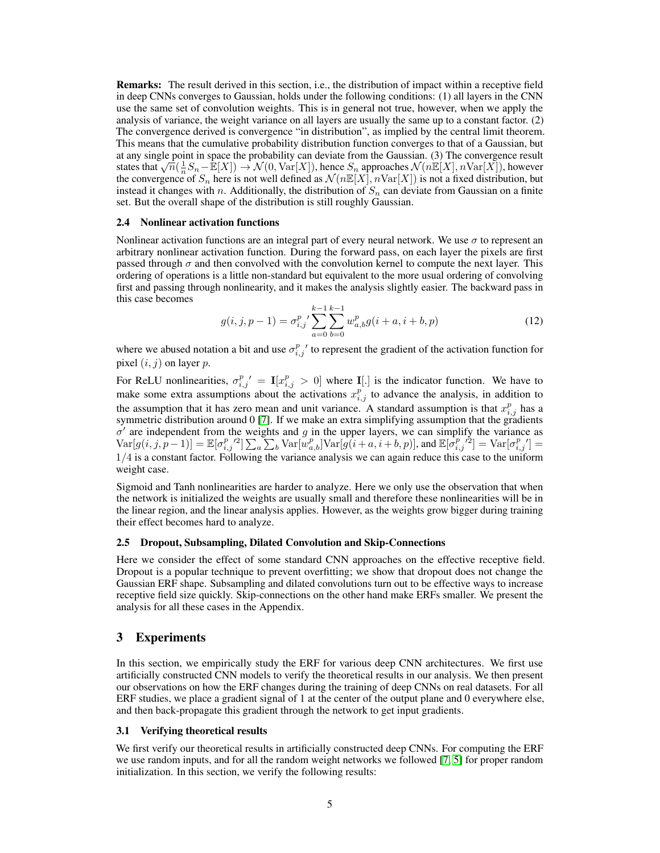Remarks: The result derived in this section, i.e., the distribution of impact within a receptive field in deep CNNs converges to Gaussian, holds under the following conditions: (1) all layers in the CNN use the same set of convolution weights. This is in general not true, however, when we apply the analysis of variance, the weight variance on all layers are usually the same up to a constant factor. (2) The convergence derived is convergence "in distribution", as implied by the central limit theorem. This means that the cumulative probability distribution function converges to that of a Gaussian, but at any single point in space the probability can deviate from the Gaussian. (3) The convergence result states that  $\sqrt{n}(\frac{1}{n}S_n - \mathbb{E}[X]) \rightarrow \mathcal{N}(0, \text{Var}[X])$ , hence  $S_n$  approaches  $\mathcal{N}(n\mathbb{E}[X], n\text{Var}[X])$ , however the convergence of  $S_n$  here is not well defined as  $\mathcal{N}(n\mathbb{E}[X], n\text{Var}[X])$  is not a fixed distribution, but instead it changes with n. Additionally, the distribution of  $S_n$  can deviate from Gaussian on a finite set. But the overall shape of the distribution is still roughly Gaussian.

#### 2.4 Nonlinear activation functions

Nonlinear activation functions are an integral part of every neural network. We use  $\sigma$  to represent an arbitrary nonlinear activation function. During the forward pass, on each layer the pixels are first passed through  $\sigma$  and then convolved with the convolution kernel to compute the next layer. This ordering of operations is a little non-standard but equivalent to the more usual ordering of convolving first and passing through nonlinearity, and it makes the analysis slightly easier. The backward pass in this case becomes

$$
g(i,j,p-1) = \sigma_{i,j}^p \sum_{a=0}^{k-1} \sum_{b=0}^{k-1} w_{a,b}^p g(i+a, i+b, p)
$$
 (12)

where we abused notation a bit and use  $\sigma_{i,j}^p$  to represent the gradient of the activation function for pixel  $(i, j)$  on layer  $p$ .

For ReLU nonlinearities,  $\sigma_{i,j}^p = \mathbf{I}[x_{i,j}^p > 0]$  where  $\mathbf{I}[\cdot]$  is the indicator function. We have to make some extra assumptions about the activations  $x_{i,j}^p$  to advance the analysis, in addition to the assumption that it has zero mean and unit variance. A standard assumption is that  $x_{i,j}^p$  has a symmetric distribution around 0 [\[7\]](#page-8-12). If we make an extra simplifying assumption that the gradients  $\sigma'$  are independent from the weights and g in the upper layers, we can simplify the variance as  $\text{Var}[g(i,j,\overset{1}{p}-1)] = \mathbb{E}[\sigma^{p}_{i,j}^{\prime\prime2}] \sum_{a} \sum_{b} \text{Var}[\overset{1}{w}_{a,b}^{p}] \text{Var}[g(i+a,i+b,p)],$  and  $\mathbb{E}[\overset{1}{\sigma}_{i,j}^{p}{}'^{2}] = \text{Var}[\sigma^{p}_{i,j}^{\prime\prime}] =$ 1/4 is a constant factor. Following the variance analysis we can again reduce this case to the uniform weight case.

Sigmoid and Tanh nonlinearities are harder to analyze. Here we only use the observation that when the network is initialized the weights are usually small and therefore these nonlinearities will be in the linear region, and the linear analysis applies. However, as the weights grow bigger during training their effect becomes hard to analyze.

#### 2.5 Dropout, Subsampling, Dilated Convolution and Skip-Connections

Here we consider the effect of some standard CNN approaches on the effective receptive field. Dropout is a popular technique to prevent overfitting; we show that dropout does not change the Gaussian ERF shape. Subsampling and dilated convolutions turn out to be effective ways to increase receptive field size quickly. Skip-connections on the other hand make ERFs smaller. We present the analysis for all these cases in the Appendix.

## <span id="page-4-0"></span>3 Experiments

In this section, we empirically study the ERF for various deep CNN architectures. We first use artificially constructed CNN models to verify the theoretical results in our analysis. We then present our observations on how the ERF changes during the training of deep CNNs on real datasets. For all ERF studies, we place a gradient signal of 1 at the center of the output plane and 0 everywhere else, and then back-propagate this gradient through the network to get input gradients.

#### 3.1 Verifying theoretical results

We first verify our theoretical results in artificially constructed deep CNNs. For computing the ERF we use random inputs, and for all the random weight networks we followed [\[7,](#page-8-12) [5\]](#page-8-13) for proper random initialization. In this section, we verify the following results: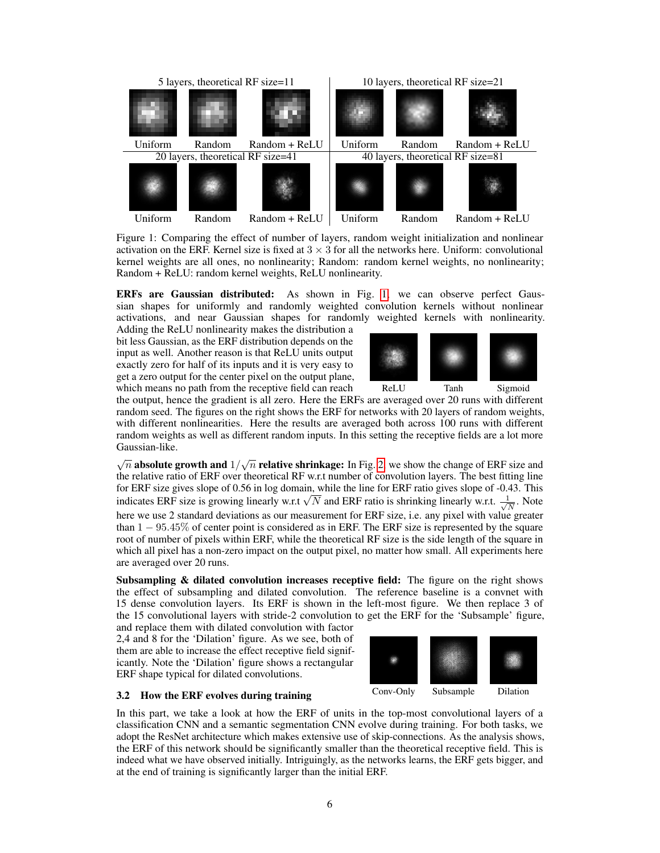<span id="page-5-0"></span>

Figure 1: Comparing the effect of number of layers, random weight initialization and nonlinear activation on the ERF. Kernel size is fixed at  $3 \times 3$  for all the networks here. Uniform: convolutional kernel weights are all ones, no nonlinearity; Random: random kernel weights, no nonlinearity; Random + ReLU: random kernel weights, ReLU nonlinearity.

ERFs are Gaussian distributed: As shown in Fig. [1,](#page-5-0) we can observe perfect Gaussian shapes for uniformly and randomly weighted convolution kernels without nonlinear activations, and near Gaussian shapes for randomly weighted kernels with nonlinearity.

Adding the ReLU nonlinearity makes the distribution a bit less Gaussian, as the ERF distribution depends on the input as well. Another reason is that ReLU units output exactly zero for half of its inputs and it is very easy to get a zero output for the center pixel on the output plane, which means no path from the receptive field can reach



the output, hence the gradient is all zero. Here the ERFs are averaged over 20 runs with different random seed. The figures on the right shows the ERF for networks with 20 layers of random weights, with different nonlinearities. Here the results are averaged both across 100 runs with different random weights as well as different random inputs. In this setting the receptive fields are a lot more Gaussian-like.

 $\sqrt{n}$  absolute growth and  $1/\sqrt{n}$  relative shrinkage: In Fig. [2,](#page-6-1) we show the change of ERF size and the relative ratio of ERF over theoretical RF w.r.t number of convolution layers. The best fitting line for ERF size gives slope of 0.56 in log domain, while the line for ERF ratio gives slope of -0.43. This for ERF size gives slope of 0.56 in log domain, while the line for ERF ratio gives slope of -0.4<br>indicates ERF size is growing linearly w.r.t  $\sqrt{N}$  and ERF ratio is shrinking linearly w.r.t.  $\frac{1}{\sqrt{N}}$  $\frac{1}{N}$ . Note here we use 2 standard deviations as our measurement for ERF size, i.e. any pixel with value greater than  $1 - 95.45\%$  of center point is considered as in ERF. The ERF size is represented by the square root of number of pixels within ERF, while the theoretical RF size is the side length of the square in which all pixel has a non-zero impact on the output pixel, no matter how small. All experiments here are averaged over 20 runs.

Subsampling  $\&$  dilated convolution increases receptive field: The figure on the right shows the effect of subsampling and dilated convolution. The reference baseline is a convnet with 15 dense convolution layers. Its ERF is shown in the left-most figure. We then replace 3 of the 15 convolutional layers with stride-2 convolution to get the ERF for the 'Subsample' figure,

and replace them with dilated convolution with factor 2,4 and 8 for the 'Dilation' figure. As we see, both of them are able to increase the effect receptive field significantly. Note the 'Dilation' figure shows a rectangular ERF shape typical for dilated convolutions.



## 3.2 How the ERF evolves during training

In this part, we take a look at how the ERF of units in the top-most convolutional layers of a classification CNN and a semantic segmentation CNN evolve during training. For both tasks, we adopt the ResNet architecture which makes extensive use of skip-connections. As the analysis shows, the ERF of this network should be significantly smaller than the theoretical receptive field. This is indeed what we have observed initially. Intriguingly, as the networks learns, the ERF gets bigger, and at the end of training is significantly larger than the initial ERF.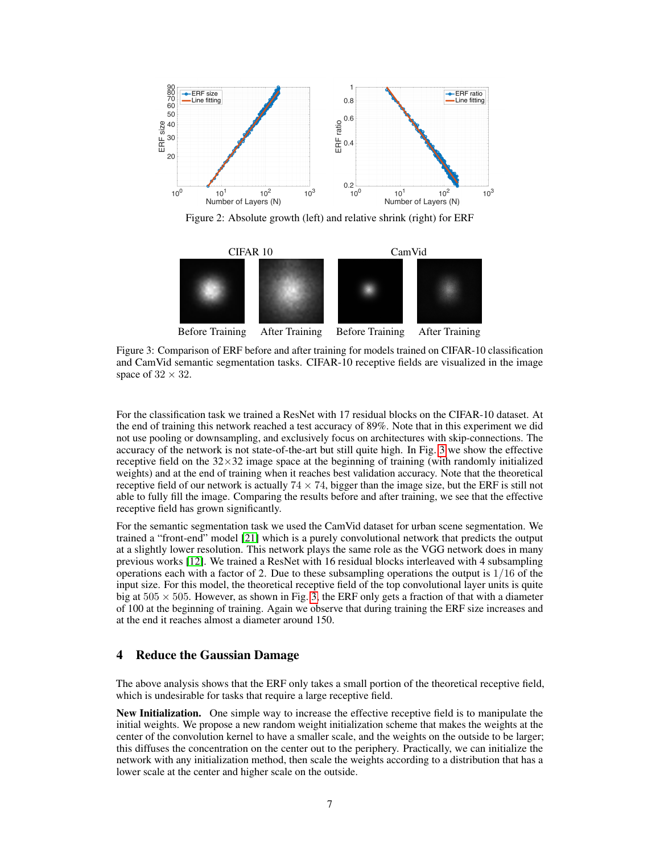<span id="page-6-1"></span>

Figure 2: Absolute growth (left) and relative shrink (right) for ERF

<span id="page-6-2"></span>

Figure 3: Comparison of ERF before and after training for models trained on CIFAR-10 classification and CamVid semantic segmentation tasks. CIFAR-10 receptive fields are visualized in the image space of  $32 \times 32$ .

For the classification task we trained a ResNet with 17 residual blocks on the CIFAR-10 dataset. At the end of training this network reached a test accuracy of 89%. Note that in this experiment we did not use pooling or downsampling, and exclusively focus on architectures with skip-connections. The accuracy of the network is not state-of-the-art but still quite high. In Fig. [3](#page-6-2) we show the effective receptive field on the  $32 \times 32$  image space at the beginning of training (with randomly initialized weights) and at the end of training when it reaches best validation accuracy. Note that the theoretical receptive field of our network is actually  $74 \times 74$ , bigger than the image size, but the ERF is still not able to fully fill the image. Comparing the results before and after training, we see that the effective receptive field has grown significantly.

For the semantic segmentation task we used the CamVid dataset for urban scene segmentation. We trained a "front-end" model [\[21\]](#page-8-14) which is a purely convolutional network that predicts the output at a slightly lower resolution. This network plays the same role as the VGG network does in many previous works [\[12\]](#page-8-4). We trained a ResNet with 16 residual blocks interleaved with 4 subsampling operations each with a factor of 2. Due to these subsampling operations the output is  $1/16$  of the input size. For this model, the theoretical receptive field of the top convolutional layer units is quite big at  $505 \times 505$ . However, as shown in Fig. [3,](#page-6-2) the ERF only gets a fraction of that with a diameter of 100 at the beginning of training. Again we observe that during training the ERF size increases and at the end it reaches almost a diameter around 150.

# <span id="page-6-0"></span>4 Reduce the Gaussian Damage

The above analysis shows that the ERF only takes a small portion of the theoretical receptive field, which is undesirable for tasks that require a large receptive field.

New Initialization. One simple way to increase the effective receptive field is to manipulate the initial weights. We propose a new random weight initialization scheme that makes the weights at the center of the convolution kernel to have a smaller scale, and the weights on the outside to be larger; this diffuses the concentration on the center out to the periphery. Practically, we can initialize the network with any initialization method, then scale the weights according to a distribution that has a lower scale at the center and higher scale on the outside.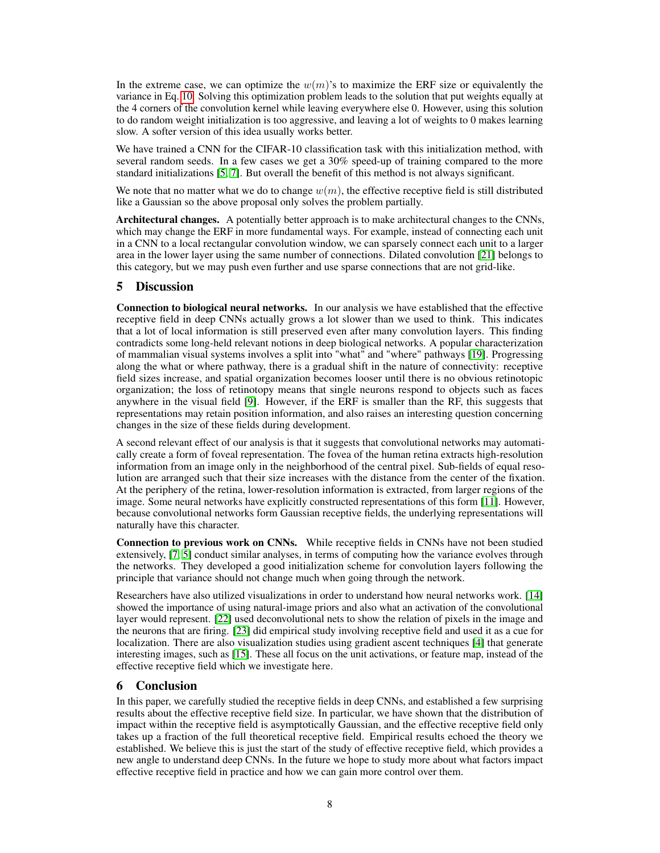In the extreme case, we can optimize the  $w(m)$ 's to maximize the ERF size or equivalently the variance in Eq. [10.](#page-3-1) Solving this optimization problem leads to the solution that put weights equally at the 4 corners of the convolution kernel while leaving everywhere else 0. However, using this solution to do random weight initialization is too aggressive, and leaving a lot of weights to 0 makes learning slow. A softer version of this idea usually works better.

We have trained a CNN for the CIFAR-10 classification task with this initialization method, with several random seeds. In a few cases we get a 30% speed-up of training compared to the more standard initializations [\[5,](#page-8-13) [7\]](#page-8-12). But overall the benefit of this method is not always significant.

We note that no matter what we do to change  $w(m)$ , the effective receptive field is still distributed like a Gaussian so the above proposal only solves the problem partially.

Architectural changes. A potentially better approach is to make architectural changes to the CNNs, which may change the ERF in more fundamental ways. For example, instead of connecting each unit in a CNN to a local rectangular convolution window, we can sparsely connect each unit to a larger area in the lower layer using the same number of connections. Dilated convolution [\[21\]](#page-8-14) belongs to this category, but we may push even further and use sparse connections that are not grid-like.

# 5 Discussion

Connection to biological neural networks. In our analysis we have established that the effective receptive field in deep CNNs actually grows a lot slower than we used to think. This indicates that a lot of local information is still preserved even after many convolution layers. This finding contradicts some long-held relevant notions in deep biological networks. A popular characterization of mammalian visual systems involves a split into "what" and "where" pathways [\[19\]](#page-8-15). Progressing along the what or where pathway, there is a gradual shift in the nature of connectivity: receptive field sizes increase, and spatial organization becomes looser until there is no obvious retinotopic organization; the loss of retinotopy means that single neurons respond to objects such as faces anywhere in the visual field [\[9\]](#page-8-16). However, if the ERF is smaller than the RF, this suggests that representations may retain position information, and also raises an interesting question concerning changes in the size of these fields during development.

A second relevant effect of our analysis is that it suggests that convolutional networks may automatically create a form of foveal representation. The fovea of the human retina extracts high-resolution information from an image only in the neighborhood of the central pixel. Sub-fields of equal resolution are arranged such that their size increases with the distance from the center of the fixation. At the periphery of the retina, lower-resolution information is extracted, from larger regions of the image. Some neural networks have explicitly constructed representations of this form [\[11\]](#page-8-17). However, because convolutional networks form Gaussian receptive fields, the underlying representations will naturally have this character.

Connection to previous work on CNNs. While receptive fields in CNNs have not been studied extensively, [\[7,](#page-8-12) [5\]](#page-8-13) conduct similar analyses, in terms of computing how the variance evolves through the networks. They developed a good initialization scheme for convolution layers following the principle that variance should not change much when going through the network.

Researchers have also utilized visualizations in order to understand how neural networks work. [\[14\]](#page-8-18) showed the importance of using natural-image priors and also what an activation of the convolutional layer would represent. [\[22\]](#page-8-19) used deconvolutional nets to show the relation of pixels in the image and the neurons that are firing. [\[23\]](#page-8-20) did empirical study involving receptive field and used it as a cue for localization. There are also visualization studies using gradient ascent techniques [\[4\]](#page-8-21) that generate interesting images, such as [\[15\]](#page-8-22). These all focus on the unit activations, or feature map, instead of the effective receptive field which we investigate here.

# 6 Conclusion

In this paper, we carefully studied the receptive fields in deep CNNs, and established a few surprising results about the effective receptive field size. In particular, we have shown that the distribution of impact within the receptive field is asymptotically Gaussian, and the effective receptive field only takes up a fraction of the full theoretical receptive field. Empirical results echoed the theory we established. We believe this is just the start of the study of effective receptive field, which provides a new angle to understand deep CNNs. In the future we hope to study more about what factors impact effective receptive field in practice and how we can gain more control over them.